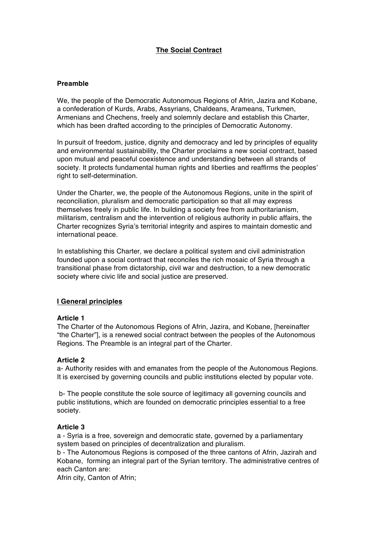# **The Social Contract**

# **Preamble**

We, the people of the Democratic Autonomous Regions of Afrin, Jazira and Kobane, a confederation of Kurds, Arabs, Assyrians, Chaldeans, Arameans, Turkmen, Armenians and Chechens, freely and solemnly declare and establish this Charter, which has been drafted according to the principles of Democratic Autonomy.

In pursuit of freedom, justice, dignity and democracy and led by principles of equality and environmental sustainability, the Charter proclaims a new social contract, based upon mutual and peaceful coexistence and understanding between all strands of society. It protects fundamental human rights and liberties and reaffirms the peoples' right to self-determination.

Under the Charter, we, the people of the Autonomous Regions, unite in the spirit of reconciliation, pluralism and democratic participation so that all may express themselves freely in public life. In building a society free from authoritarianism, militarism, centralism and the intervention of religious authority in public affairs, the Charter recognizes Syria's territorial integrity and aspires to maintain domestic and international peace.

In establishing this Charter, we declare a political system and civil administration founded upon a social contract that reconciles the rich mosaic of Syria through a transitional phase from dictatorship, civil war and destruction, to a new democratic society where civic life and social justice are preserved.

# **I General principles**

# **Article 1**

The Charter of the Autonomous Regions of Afrin, Jazira, and Kobane, [hereinafter "the Charter"], is a renewed social contract between the peoples of the Autonomous Regions. The Preamble is an integral part of the Charter.

# **Article 2**

a- Authority resides with and emanates from the people of the Autonomous Regions. It is exercised by governing councils and public institutions elected by popular vote.

b- The people constitute the sole source of legitimacy all governing councils and public institutions, which are founded on democratic principles essential to a free society.

# **Article 3**

a - Syria is a free, sovereign and democratic state, governed by a parliamentary system based on principles of decentralization and pluralism.

b - The Autonomous Regions is composed of the three cantons of Afrin, Jazirah and Kobane, forming an integral part of the Syrian territory. The administrative centres of each Canton are:

Afrin city, Canton of Afrin;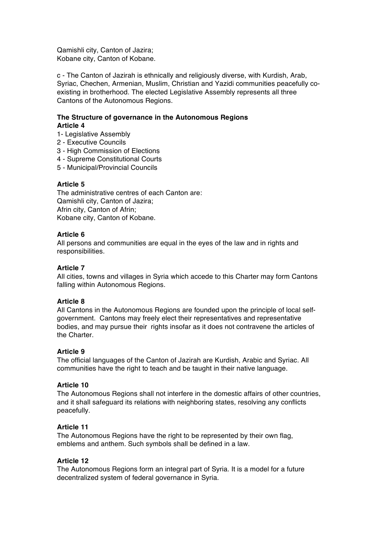Qamishli city, Canton of Jazira; Kobane city, Canton of Kobane.

c - The Canton of Jazirah is ethnically and religiously diverse, with Kurdish, Arab, Syriac, Chechen, Armenian, Muslim, Christian and Yazidi communities peacefully coexisting in brotherhood. The elected Legislative Assembly represents all three Cantons of the Autonomous Regions.

# **The Structure of governance in the Autonomous Regions Article 4**

- 1- Legislative Assembly
- 2 Executive Councils
- 3 High Commission of Elections
- 4 Supreme Constitutional Courts
- 5 Municipal/Provincial Councils

## **Article 5**

The administrative centres of each Canton are: Qamishli city, Canton of Jazira; Afrin city, Canton of Afrin; Kobane city, Canton of Kobane.

## **Article 6**

All persons and communities are equal in the eyes of the law and in rights and responsibilities.

## **Article 7**

All cities, towns and villages in Syria which accede to this Charter may form Cantons falling within Autonomous Regions.

#### **Article 8**

All Cantons in the Autonomous Regions are founded upon the principle of local selfgovernment. Cantons may freely elect their representatives and representative bodies, and may pursue their rights insofar as it does not contravene the articles of the Charter.

# **Article 9**

The official languages of the Canton of Jazirah are Kurdish, Arabic and Syriac. All communities have the right to teach and be taught in their native language.

#### **Article 10**

The Autonomous Regions shall not interfere in the domestic affairs of other countries, and it shall safeguard its relations with neighboring states, resolving any conflicts peacefully.

#### **Article 11**

The Autonomous Regions have the right to be represented by their own flag, emblems and anthem. Such symbols shall be defined in a law.

### **Article 12**

The Autonomous Regions form an integral part of Syria. It is a model for a future decentralized system of federal governance in Syria.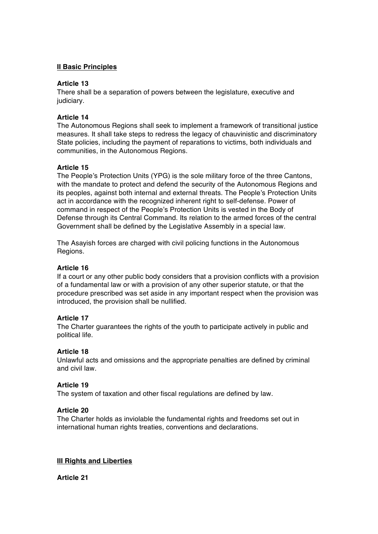## **II Basic Principles**

## **Article 13**

There shall be a separation of powers between the legislature, executive and judiciary.

## **Article 14**

The Autonomous Regions shall seek to implement a framework of transitional justice measures. It shall take steps to redress the legacy of chauvinistic and discriminatory State policies, including the payment of reparations to victims, both individuals and communities, in the Autonomous Regions.

## **Article 15**

The People's Protection Units (YPG) is the sole military force of the three Cantons, with the mandate to protect and defend the security of the Autonomous Regions and its peoples, against both internal and external threats. The People's Protection Units act in accordance with the recognized inherent right to self-defense. Power of command in respect of the People's Protection Units is vested in the Body of Defense through its Central Command. Its relation to the armed forces of the central Government shall be defined by the Legislative Assembly in a special law.

The Asayish forces are charged with civil policing functions in the Autonomous Regions.

### **Article 16**

If a court or any other public body considers that a provision conflicts with a provision of a fundamental law or with a provision of any other superior statute, or that the procedure prescribed was set aside in any important respect when the provision was introduced, the provision shall be nullified.

# **Article 17**

The Charter guarantees the rights of the youth to participate actively in public and political life.

# **Article 18**

Unlawful acts and omissions and the appropriate penalties are defined by criminal and civil law.

#### **Article 19**

The system of taxation and other fiscal regulations are defined by law.

#### **Article 20**

The Charter holds as inviolable the fundamental rights and freedoms set out in international human rights treaties, conventions and declarations.

### **III Rights and Liberties**

**Article 21**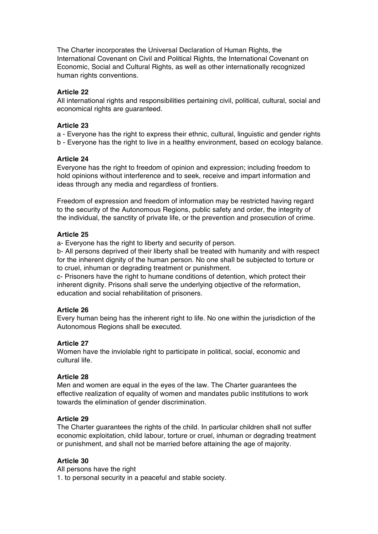The Charter incorporates the Universal Declaration of Human Rights, the International Covenant on Civil and Political Rights, the International Covenant on Economic, Social and Cultural Rights, as well as other internationally recognized human rights conventions.

### **Article 22**

All international rights and responsibilities pertaining civil, political, cultural, social and economical rights are guaranteed.

### **Article 23**

a - Everyone has the right to express their ethnic, cultural, linguistic and gender rights

b - Everyone has the right to live in a healthy environment, based on ecology balance.

## **Article 24**

Everyone has the right to freedom of opinion and expression; including freedom to hold opinions without interference and to seek, receive and impart information and ideas through any media and regardless of frontiers.

Freedom of expression and freedom of information may be restricted having regard to the security of the Autonomous Regions, public safety and order, the integrity of the individual, the sanctity of private life, or the prevention and prosecution of crime.

# **Article 25**

a- Everyone has the right to liberty and security of person.

b- All persons deprived of their liberty shall be treated with humanity and with respect for the inherent dignity of the human person. No one shall be subjected to torture or to cruel, inhuman or degrading treatment or punishment.

c- Prisoners have the right to humane conditions of detention, which protect their inherent dignity. Prisons shall serve the underlying objective of the reformation, education and social rehabilitation of prisoners.

# **Article 26**

Every human being has the inherent right to life. No one within the jurisdiction of the Autonomous Regions shall be executed.

# **Article 27**

Women have the inviolable right to participate in political, social, economic and cultural life.

# **Article 28**

Men and women are equal in the eyes of the law. The Charter guarantees the effective realization of equality of women and mandates public institutions to work towards the elimination of gender discrimination.

# **Article 29**

The Charter guarantees the rights of the child. In particular children shall not suffer economic exploitation, child labour, torture or cruel, inhuman or degrading treatment or punishment, and shall not be married before attaining the age of majority.

### **Article 30**

All persons have the right 1. to personal security in a peaceful and stable society.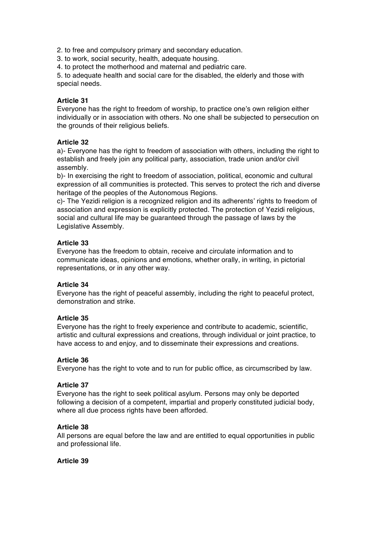2. to free and compulsory primary and secondary education.

3. to work, social security, health, adequate housing.

4. to protect the motherhood and maternal and pediatric care.

5. to adequate health and social care for the disabled, the elderly and those with special needs.

# **Article 31**

Everyone has the right to freedom of worship, to practice one's own religion either individually or in association with others. No one shall be subjected to persecution on the grounds of their religious beliefs.

# **Article 32**

a)- Everyone has the right to freedom of association with others, including the right to establish and freely join any political party, association, trade union and/or civil assembly.

b)- In exercising the right to freedom of association, political, economic and cultural expression of all communities is protected. This serves to protect the rich and diverse heritage of the peoples of the Autonomous Regions.

c)- The Yezidi religion is a recognized religion and its adherents' rights to freedom of association and expression is explicitly protected. The protection of Yezidi religious, social and cultural life may be guaranteed through the passage of laws by the Legislative Assembly.

# **Article 33**

Everyone has the freedom to obtain, receive and circulate information and to communicate ideas, opinions and emotions, whether orally, in writing, in pictorial representations, or in any other way.

# **Article 34**

Everyone has the right of peaceful assembly, including the right to peaceful protect, demonstration and strike.

# **Article 35**

Everyone has the right to freely experience and contribute to academic, scientific, artistic and cultural expressions and creations, through individual or joint practice, to have access to and enjoy, and to disseminate their expressions and creations.

# **Article 36**

Everyone has the right to vote and to run for public office, as circumscribed by law.

# **Article 37**

Everyone has the right to seek political asylum. Persons may only be deported following a decision of a competent, impartial and properly constituted judicial body, where all due process rights have been afforded.

# **Article 38**

All persons are equal before the law and are entitled to equal opportunities in public and professional life.

# **Article 39**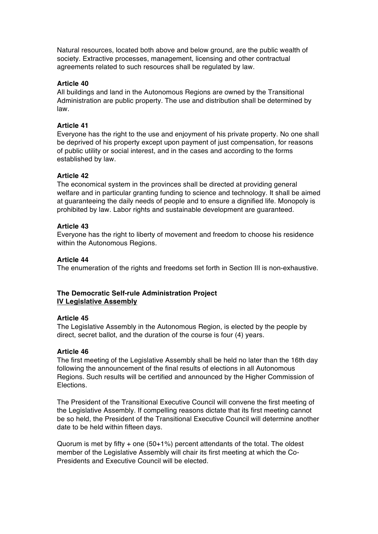Natural resources, located both above and below ground, are the public wealth of society. Extractive processes, management, licensing and other contractual agreements related to such resources shall be regulated by law.

## **Article 40**

All buildings and land in the Autonomous Regions are owned by the Transitional Administration are public property. The use and distribution shall be determined by law.

### **Article 41**

Everyone has the right to the use and enjoyment of his private property. No one shall be deprived of his property except upon payment of just compensation, for reasons of public utility or social interest, and in the cases and according to the forms established by law.

## **Article 42**

The economical system in the provinces shall be directed at providing general welfare and in particular granting funding to science and technology. It shall be aimed at guaranteeing the daily needs of people and to ensure a dignified life. Monopoly is prohibited by law. Labor rights and sustainable development are guaranteed.

## **Article 43**

Everyone has the right to liberty of movement and freedom to choose his residence within the Autonomous Regions.

## **Article 44**

The enumeration of the rights and freedoms set forth in Section III is non-exhaustive.

# **The Democratic Self-rule Administration Project IV Legislative Assembly**

### **Article 45**

The Legislative Assembly in the Autonomous Region, is elected by the people by direct, secret ballot, and the duration of the course is four (4) years.

#### **Article 46**

The first meeting of the Legislative Assembly shall be held no later than the 16th day following the announcement of the final results of elections in all Autonomous Regions. Such results will be certified and announced by the Higher Commission of Elections.

The President of the Transitional Executive Council will convene the first meeting of the Legislative Assembly. If compelling reasons dictate that its first meeting cannot be so held, the President of the Transitional Executive Council will determine another date to be held within fifteen days.

Quorum is met by fifty + one (50+1%) percent attendants of the total. The oldest member of the Legislative Assembly will chair its first meeting at which the Co-Presidents and Executive Council will be elected.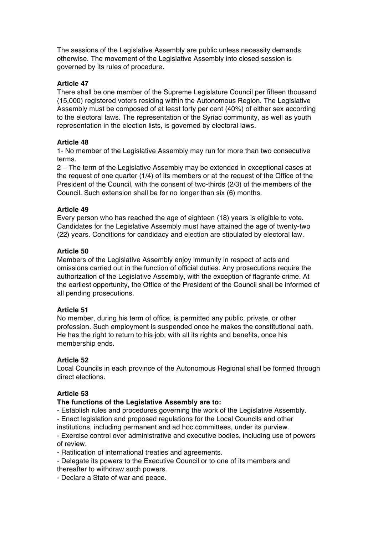The sessions of the Legislative Assembly are public unless necessity demands otherwise. The movement of the Legislative Assembly into closed session is governed by its rules of procedure.

# **Article 47**

There shall be one member of the Supreme Legislature Council per fifteen thousand (15,000) registered voters residing within the Autonomous Region. The Legislative Assembly must be composed of at least forty per cent (40%) of either sex according to the electoral laws. The representation of the Syriac community, as well as youth representation in the election lists, is governed by electoral laws.

# **Article 48**

1- No member of the Legislative Assembly may run for more than two consecutive terms.

2 – The term of the Legislative Assembly may be extended in exceptional cases at the request of one quarter (1/4) of its members or at the request of the Office of the President of the Council, with the consent of two-thirds (2/3) of the members of the Council. Such extension shall be for no longer than six (6) months.

# **Article 49**

Every person who has reached the age of eighteen (18) years is eligible to vote. Candidates for the Legislative Assembly must have attained the age of twenty-two (22) years. Conditions for candidacy and election are stipulated by electoral law.

# **Article 50**

Members of the Legislative Assembly enjoy immunity in respect of acts and omissions carried out in the function of official duties. Any prosecutions require the authorization of the Legislative Assembly, with the exception of flagrante crime. At the earliest opportunity, the Office of the President of the Council shall be informed of all pending prosecutions.

# **Article 51**

No member, during his term of office, is permitted any public, private, or other profession. Such employment is suspended once he makes the constitutional oath. He has the right to return to his job, with all its rights and benefits, once his membership ends.

# **Article 52**

Local Councils in each province of the Autonomous Regional shall be formed through direct elections.

# **Article 53**

# **The functions of the Legislative Assembly are to:**

- Establish rules and procedures governing the work of the Legislative Assembly.

- Enact legislation and proposed regulations for the Local Councils and other institutions, including permanent and ad hoc committees, under its purview.

- Exercise control over administrative and executive bodies, including use of powers of review.

- Ratification of international treaties and agreements.

- Delegate its powers to the Executive Council or to one of its members and thereafter to withdraw such powers.

- Declare a State of war and peace.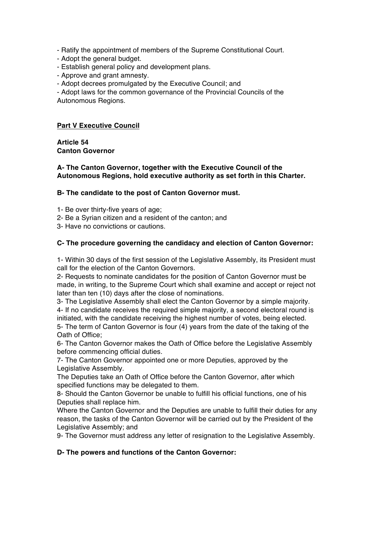- Ratify the appointment of members of the Supreme Constitutional Court.

- Adopt the general budget.
- Establish general policy and development plans.
- Approve and grant amnesty.
- Adopt decrees promulgated by the Executive Council; and

- Adopt laws for the common governance of the Provincial Councils of the Autonomous Regions.

## **Part V Executive Council**

**Article 54 Canton Governor** 

## **A- The Canton Governor, together with the Executive Council of the Autonomous Regions, hold executive authority as set forth in this Charter.**

## **B- The candidate to the post of Canton Governor must.**

- 1- Be over thirty-five years of age;
- 2- Be a Syrian citizen and a resident of the canton; and
- 3- Have no convictions or cautions.

## **C- The procedure governing the candidacy and election of Canton Governor:**

1- Within 30 days of the first session of the Legislative Assembly, its President must call for the election of the Canton Governors.

2- Requests to nominate candidates for the position of Canton Governor must be made, in writing, to the Supreme Court which shall examine and accept or reject not later than ten (10) days after the close of nominations.

3- The Legislative Assembly shall elect the Canton Governor by a simple majority. 4- If no candidate receives the required simple majority, a second electoral round is initiated, with the candidate receiving the highest number of votes, being elected.

5- The term of Canton Governor is four (4) years from the date of the taking of the Oath of Office;

6- The Canton Governor makes the Oath of Office before the Legislative Assembly before commencing official duties.

7- The Canton Governor appointed one or more Deputies, approved by the Legislative Assembly.

The Deputies take an Oath of Office before the Canton Governor, after which specified functions may be delegated to them.

8- Should the Canton Governor be unable to fulfill his official functions, one of his Deputies shall replace him.

Where the Canton Governor and the Deputies are unable to fulfill their duties for any reason, the tasks of the Canton Governor will be carried out by the President of the Legislative Assembly; and

9- The Governor must address any letter of resignation to the Legislative Assembly.

#### **D- The powers and functions of the Canton Governor:**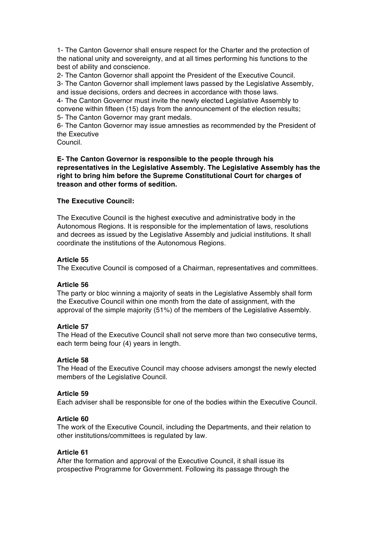1- The Canton Governor shall ensure respect for the Charter and the protection of the national unity and sovereignty, and at all times performing his functions to the best of ability and conscience.

2- The Canton Governor shall appoint the President of the Executive Council. 3- The Canton Governor shall implement laws passed by the Legislative Assembly, and issue decisions, orders and decrees in accordance with those laws.

4- The Canton Governor must invite the newly elected Legislative Assembly to convene within fifteen (15) days from the announcement of the election results; 5- The Canton Governor may grant medals.

6- The Canton Governor may issue amnesties as recommended by the President of the Executive

Council.

## **E- The Canton Governor is responsible to the people through his representatives in the Legislative Assembly. The Legislative Assembly has the right to bring him before the Supreme Constitutional Court for charges of treason and other forms of sedition.**

# **The Executive Council:**

The Executive Council is the highest executive and administrative body in the Autonomous Regions. It is responsible for the implementation of laws, resolutions and decrees as issued by the Legislative Assembly and judicial institutions. It shall coordinate the institutions of the Autonomous Regions.

# **Article 55**

The Executive Council is composed of a Chairman, representatives and committees.

# **Article 56**

The party or bloc winning a majority of seats in the Legislative Assembly shall form the Executive Council within one month from the date of assignment, with the approval of the simple majority (51%) of the members of the Legislative Assembly.

# **Article 57**

The Head of the Executive Council shall not serve more than two consecutive terms, each term being four (4) years in length.

# **Article 58**

The Head of the Executive Council may choose advisers amongst the newly elected members of the Legislative Council.

# **Article 59**

Each adviser shall be responsible for one of the bodies within the Executive Council.

# **Article 60**

The work of the Executive Council, including the Departments, and their relation to other institutions/committees is regulated by law.

# **Article 61**

After the formation and approval of the Executive Council, it shall issue its prospective Programme for Government. Following its passage through the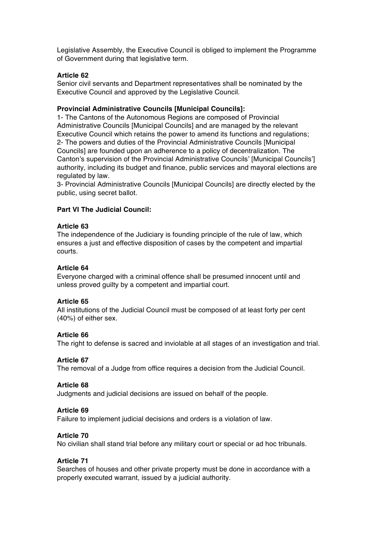Legislative Assembly, the Executive Council is obliged to implement the Programme of Government during that legislative term.

## **Article 62**

Senior civil servants and Department representatives shall be nominated by the Executive Council and approved by the Legislative Council.

## **Provincial Administrative Councils [Municipal Councils]:**

1- The Cantons of the Autonomous Regions are composed of Provincial Administrative Councils [Municipal Councils] and are managed by the relevant Executive Council which retains the power to amend its functions and regulations; 2- The powers and duties of the Provincial Administrative Councils [Municipal Councils] are founded upon an adherence to a policy of decentralization. The Canton's supervision of the Provincial Administrative Councils' [Municipal Councils'] authority, including its budget and finance, public services and mayoral elections are regulated by law.

3- Provincial Administrative Councils [Municipal Councils] are directly elected by the public, using secret ballot.

## **Part VI The Judicial Council:**

#### **Article 63**

The independence of the Judiciary is founding principle of the rule of law, which ensures a just and effective disposition of cases by the competent and impartial courts.

### **Article 64**

Everyone charged with a criminal offence shall be presumed innocent until and unless proved guilty by a competent and impartial court.

#### **Article 65**

All institutions of the Judicial Council must be composed of at least forty per cent (40%) of either sex.

#### **Article 66**

The right to defense is sacred and inviolable at all stages of an investigation and trial.

#### **Article 67**

The removal of a Judge from office requires a decision from the Judicial Council.

#### **Article 68**

Judgments and judicial decisions are issued on behalf of the people.

#### **Article 69**

Failure to implement judicial decisions and orders is a violation of law.

#### **Article 70**

No civilian shall stand trial before any military court or special or ad hoc tribunals.

### **Article 71**

Searches of houses and other private property must be done in accordance with a properly executed warrant, issued by a judicial authority.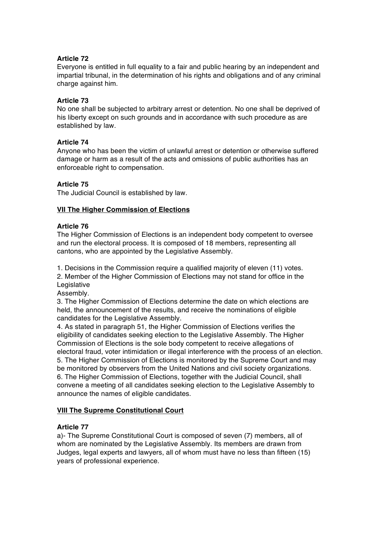# **Article 72**

Everyone is entitled in full equality to a fair and public hearing by an independent and impartial tribunal, in the determination of his rights and obligations and of any criminal charge against him.

# **Article 73**

No one shall be subjected to arbitrary arrest or detention. No one shall be deprived of his liberty except on such grounds and in accordance with such procedure as are established by law.

# **Article 74**

Anyone who has been the victim of unlawful arrest or detention or otherwise suffered damage or harm as a result of the acts and omissions of public authorities has an enforceable right to compensation.

# **Article 75**

The Judicial Council is established by law.

# **VII The Higher Commission of Elections**

# **Article 76**

The Higher Commission of Elections is an independent body competent to oversee and run the electoral process. It is composed of 18 members, representing all cantons, who are appointed by the Legislative Assembly.

1. Decisions in the Commission require a qualified majority of eleven (11) votes.

2. Member of the Higher Commission of Elections may not stand for office in the Legislative

Assembly.

3. The Higher Commission of Elections determine the date on which elections are held, the announcement of the results, and receive the nominations of eligible candidates for the Legislative Assembly.

4. As stated in paragraph 51, the Higher Commission of Elections verifies the eligibility of candidates seeking election to the Legislative Assembly. The Higher Commission of Elections is the sole body competent to receive allegations of electoral fraud, voter intimidation or illegal interference with the process of an election. 5. The Higher Commission of Elections is monitored by the Supreme Court and may be monitored by observers from the United Nations and civil society organizations. 6. The Higher Commission of Elections, together with the Judicial Council, shall convene a meeting of all candidates seeking election to the Legislative Assembly to announce the names of eligible candidates.

# **VIII The Supreme Constitutional Court**

# **Article 77**

a)- The Supreme Constitutional Court is composed of seven (7) members, all of whom are nominated by the Legislative Assembly. Its members are drawn from Judges, legal experts and lawyers, all of whom must have no less than fifteen (15) years of professional experience.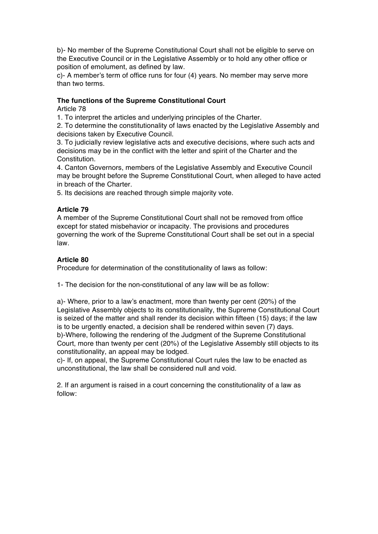b)- No member of the Supreme Constitutional Court shall not be eligible to serve on the Executive Council or in the Legislative Assembly or to hold any other office or position of emolument, as defined by law.

c)- A member's term of office runs for four (4) years. No member may serve more than two terms.

## **The functions of the Supreme Constitutional Court**

Article 78

1. To interpret the articles and underlying principles of the Charter.

2. To determine the constitutionality of laws enacted by the Legislative Assembly and decisions taken by Executive Council.

3. To judicially review legislative acts and executive decisions, where such acts and decisions may be in the conflict with the letter and spirit of the Charter and the Constitution.

4. Canton Governors, members of the Legislative Assembly and Executive Council may be brought before the Supreme Constitutional Court, when alleged to have acted in breach of the Charter.

5. Its decisions are reached through simple majority vote.

# **Article 79**

A member of the Supreme Constitutional Court shall not be removed from office except for stated misbehavior or incapacity. The provisions and procedures governing the work of the Supreme Constitutional Court shall be set out in a special law.

# **Article 80**

Procedure for determination of the constitutionality of laws as follow:

1- The decision for the non-constitutional of any law will be as follow:

a)- Where, prior to a law's enactment, more than twenty per cent (20%) of the Legislative Assembly objects to its constitutionality, the Supreme Constitutional Court is seized of the matter and shall render its decision within fifteen (15) days; if the law is to be urgently enacted, a decision shall be rendered within seven (7) days. b)-Where, following the rendering of the Judgment of the Supreme Constitutional Court, more than twenty per cent (20%) of the Legislative Assembly still objects to its constitutionality, an appeal may be lodged.

c)- If, on appeal, the Supreme Constitutional Court rules the law to be enacted as unconstitutional, the law shall be considered null and void.

2. If an argument is raised in a court concerning the constitutionality of a law as follow: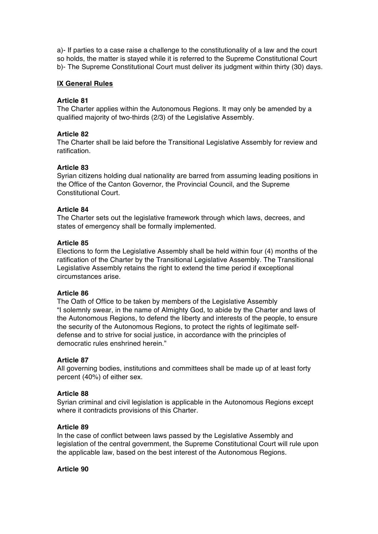a)- If parties to a case raise a challenge to the constitutionality of a law and the court so holds, the matter is stayed while it is referred to the Supreme Constitutional Court b)- The Supreme Constitutional Court must deliver its judgment within thirty (30) days.

# **IX General Rules**

# **Article 81**

The Charter applies within the Autonomous Regions. It may only be amended by a qualified majority of two-thirds (2/3) of the Legislative Assembly.

# **Article 82**

The Charter shall be laid before the Transitional Legislative Assembly for review and ratification.

# **Article 83**

Syrian citizens holding dual nationality are barred from assuming leading positions in the Office of the Canton Governor, the Provincial Council, and the Supreme Constitutional Court.

# **Article 84**

The Charter sets out the legislative framework through which laws, decrees, and states of emergency shall be formally implemented.

# **Article 85**

Elections to form the Legislative Assembly shall be held within four (4) months of the ratification of the Charter by the Transitional Legislative Assembly. The Transitional Legislative Assembly retains the right to extend the time period if exceptional circumstances arise.

# **Article 86**

The Oath of Office to be taken by members of the Legislative Assembly "I solemnly swear, in the name of Almighty God, to abide by the Charter and laws of the Autonomous Regions, to defend the liberty and interests of the people, to ensure the security of the Autonomous Regions, to protect the rights of legitimate selfdefense and to strive for social justice, in accordance with the principles of democratic rules enshrined herein."

# **Article 87**

All governing bodies, institutions and committees shall be made up of at least forty percent (40%) of either sex.

# **Article 88**

Syrian criminal and civil legislation is applicable in the Autonomous Regions except where it contradicts provisions of this Charter.

# **Article 89**

In the case of conflict between laws passed by the Legislative Assembly and legislation of the central government, the Supreme Constitutional Court will rule upon the applicable law, based on the best interest of the Autonomous Regions.

**Article 90**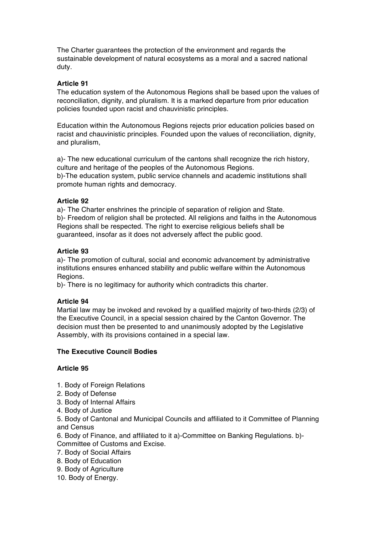The Charter guarantees the protection of the environment and regards the sustainable development of natural ecosystems as a moral and a sacred national duty.

# **Article 91**

The education system of the Autonomous Regions shall be based upon the values of reconciliation, dignity, and pluralism. It is a marked departure from prior education policies founded upon racist and chauvinistic principles.

Education within the Autonomous Regions rejects prior education policies based on racist and chauvinistic principles. Founded upon the values of reconciliation, dignity, and pluralism,

a)- The new educational curriculum of the cantons shall recognize the rich history, culture and heritage of the peoples of the Autonomous Regions. b)-The education system, public service channels and academic institutions shall promote human rights and democracy.

# **Article 92**

a)- The Charter enshrines the principle of separation of religion and State. b)- Freedom of religion shall be protected. All religions and faiths in the Autonomous Regions shall be respected. The right to exercise religious beliefs shall be guaranteed, insofar as it does not adversely affect the public good.

## **Article 93**

a)- The promotion of cultural, social and economic advancement by administrative institutions ensures enhanced stability and public welfare within the Autonomous Regions.

b)- There is no legitimacy for authority which contradicts this charter.

#### **Article 94**

Martial law may be invoked and revoked by a qualified majority of two-thirds (2/3) of the Executive Council, in a special session chaired by the Canton Governor. The decision must then be presented to and unanimously adopted by the Legislative Assembly, with its provisions contained in a special law.

# **The Executive Council Bodies**

# **Article 95**

- 1. Body of Foreign Relations
- 2. Body of Defense
- 3. Body of Internal Affairs
- 4. Body of Justice

5. Body of Cantonal and Municipal Councils and affiliated to it Committee of Planning and Census

6. Body of Finance, and affiliated to it a)-Committee on Banking Regulations. b)- Committee of Customs and Excise.

- 7. Body of Social Affairs
- 8. Body of Education
- 9. Body of Agriculture
- 10. Body of Energy.